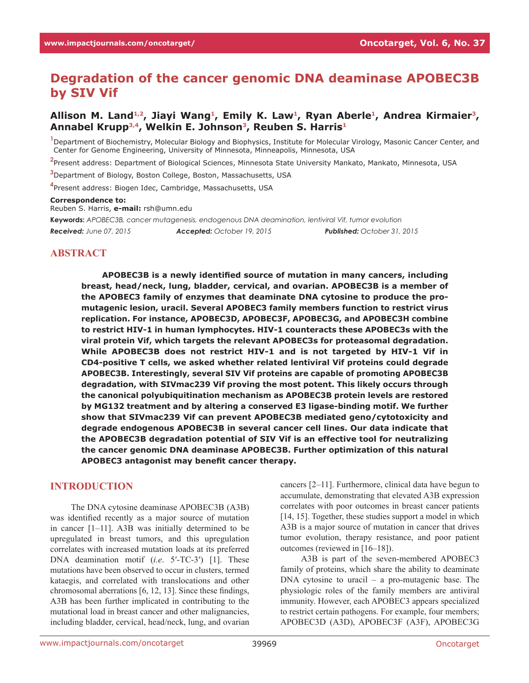# **Degradation of the cancer genomic DNA deaminase APOBEC3B by SIV Vif**

#### **Allison M. Land1,2, Jiayi Wang<sup>1</sup> , Emily K. Law<sup>1</sup> , Ryan Aberle<sup>1</sup> , Andrea Kirmaier<sup>3</sup> , Annabel Krupp3,4, Welkin E. Johnson<sup>3</sup> , Reuben S. Harris<sup>1</sup>**

**1** Department of Biochemistry, Molecular Biology and Biophysics, Institute for Molecular Virology, Masonic Cancer Center, and Center for Genome Engineering, University of Minnesota, Minneapolis, Minnesota, USA

**2** Present address: Department of Biological Sciences, Minnesota State University Mankato, Mankato, Minnesota, USA

**<sup>3</sup>**Department of Biology, Boston College, Boston, Massachusetts, USA

**4** Present address: Biogen Idec, Cambridge, Massachusetts, USA

#### **Correspondence to:**

Reuben S. Harris, **e-mail:** rsh@umn.edu

**Keywords:** *APOBEC3B, cancer mutagenesis, endogenous DNA deamination, lentiviral Vif, tumor evolution Received: June 07, 2015 Accepted: October 19, 2015 Published: October 31, 2015*

#### **ABSTRACT**

**APOBEC3B is a newly identified source of mutation in many cancers, including breast, head/neck, lung, bladder, cervical, and ovarian. APOBEC3B is a member of the APOBEC3 family of enzymes that deaminate DNA cytosine to produce the promutagenic lesion, uracil. Several APOBEC3 family members function to restrict virus replication. For instance, APOBEC3D, APOBEC3F, APOBEC3G, and APOBEC3H combine to restrict HIV-1 in human lymphocytes. HIV-1 counteracts these APOBEC3s with the viral protein Vif, which targets the relevant APOBEC3s for proteasomal degradation. While APOBEC3B does not restrict HIV-1 and is not targeted by HIV-1 Vif in CD4-positive T cells, we asked whether related lentiviral Vif proteins could degrade APOBEC3B. Interestingly, several SIV Vif proteins are capable of promoting APOBEC3B degradation, with SIVmac239 Vif proving the most potent. This likely occurs through the canonical polyubiquitination mechanism as APOBEC3B protein levels are restored by MG132 treatment and by altering a conserved E3 ligase-binding motif. We further show that SIVmac239 Vif can prevent APOBEC3B mediated geno/cytotoxicity and degrade endogenous APOBEC3B in several cancer cell lines. Our data indicate that the APOBEC3B degradation potential of SIV Vif is an effective tool for neutralizing the cancer genomic DNA deaminase APOBEC3B. Further optimization of this natural APOBEC3 antagonist may benefit cancer therapy.**

#### **INTRODUCTION**

The DNA cytosine deaminase APOBEC3B (A3B) was identified recently as a major source of mutation in cancer [1–11]. A3B was initially determined to be upregulated in breast tumors, and this upregulation correlates with increased mutation loads at its preferred DNA deamination motif (*i.e*. 5′-TC-3′) [1]. These mutations have been observed to occur in clusters, termed kataegis, and correlated with translocations and other chromosomal aberrations [6, 12, 13]. Since these findings, A3B has been further implicated in contributing to the mutational load in breast cancer and other malignancies, including bladder, cervical, head/neck, lung, and ovarian

cancers [2–11]. Furthermore, clinical data have begun to accumulate, demonstrating that elevated A3B expression correlates with poor outcomes in breast cancer patients [14, 15]. Together, these studies support a model in which A3B is a major source of mutation in cancer that drives tumor evolution, therapy resistance, and poor patient outcomes (reviewed in [16–18]).

A3B is part of the seven-membered APOBEC3 family of proteins, which share the ability to deaminate DNA cytosine to uracil – a pro-mutagenic base. The physiologic roles of the family members are antiviral immunity. However, each APOBEC3 appears specialized to restrict certain pathogens. For example, four members; APOBEC3D (A3D), APOBEC3F (A3F), APOBEC3G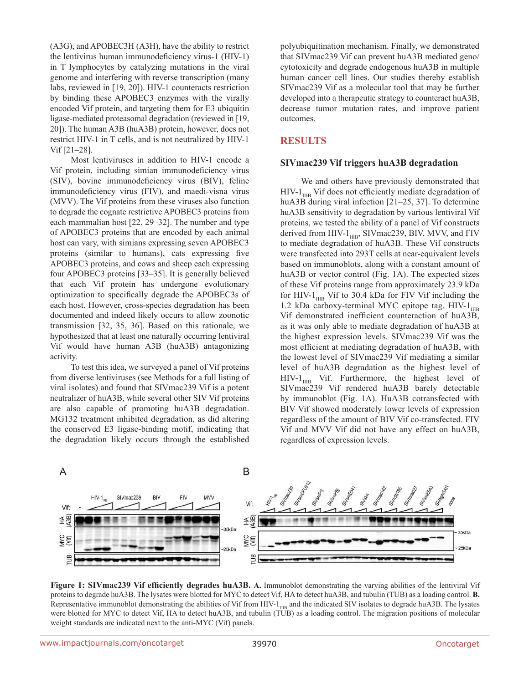(A3G), and APOBEC3H (A3H), have the ability to restrict the lentivirus human immunodeficiency virus-1 (HIV-1) in T lymphocytes by catalyzing mutations in the viral genome and interfering with reverse transcription (many labs, reviewed in [19, 20]). HIV-1 counteracts restriction by binding these APOBEC3 enzymes with the virally encoded Vif protein, and targeting them for E3 ubiquitin ligase-mediated proteasomal degradation (reviewed in [19, 20]). The human A3B (huA3B) protein, however, does not restrict HIV-1 in T cells, and is not neutralized by HIV-1 Vif [21–28].

Most lentiviruses in addition to HIV-1 encode a Vif protein, including simian immunodeficiency virus (SIV), bovine immunodeficiency virus (BIV), feline immunodeficiency virus (FIV), and maedi-visna virus (MVV). The Vif proteins from these viruses also function to degrade the cognate restrictive APOBEC3 proteins from each mammalian host [22, 29–32]. The number and type of APOBEC3 proteins that are encoded by each animal host can vary, with simians expressing seven APOBEC3 proteins (similar to humans), cats expressing five APOBEC3 proteins, and cows and sheep each expressing four APOBEC3 proteins [33–35]. It is generally believed that each Vif protein has undergone evolutionary optimization to specifically degrade the APOBEC3s of each host. However, cross-species degradation has been documented and indeed likely occurs to allow zoonotic transmission [32, 35, 36]. Based on this rationale, we hypothesized that at least one naturally occurring lentiviral Vif would have human A3B (huA3B) antagonizing activity.

To test this idea, we surveyed a panel of Vif proteins from diverse lentiviruses (see Methods for a full listing of viral isolates) and found that SIVmac239 Vif is a potent neutralizer of huA3B, while several other SIV Vif proteins are also capable of promoting huA3B degradation. MG132 treatment inhibited degradation, as did altering the conserved E3 ligase-binding motif, indicating that the degradation likely occurs through the established polyubiquitination mechanism. Finally, we demonstrated that SIVmac239 Vif can prevent huA3B mediated geno/ cytotoxicity and degrade endogenous huA3B in multiple human cancer cell lines. Our studies thereby establish SIVmac239 Vif as a molecular tool that may be further developed into a therapeutic strategy to counteract huA3B, decrease tumor mutation rates, and improve patient outcomes.

#### **RESULTS**

#### **SIVmac239 Vif triggers huA3B degradation**

We and others have previously demonstrated that  $HIV-1<sub>IIB</sub>$  Vif does not efficiently mediate degradation of huA3B during viral infection [21–25, 37]. To determine huA3B sensitivity to degradation by various lentiviral Vif proteins, we tested the ability of a panel of Vif constructs derived from HIV- $1_{\text{IIB}}$ , SIVmac239, BIV, MVV, and FIV to mediate degradation of huA3B. These Vif constructs were transfected into 293T cells at near-equivalent levels based on immunoblots, along with a constant amount of huA3B or vector control (Fig. 1A). The expected sizes of these Vif proteins range from approximately 23.9 kDa for HIV- $1_{\text{IIB}}$  Vif to 30.4 kDa for FIV Vif including the 1.2 kDa carboxy-terminal MYC epitope tag. HIV- $1_{\text{IIB}}$ Vif demonstrated inefficient counteraction of huA3B, as it was only able to mediate degradation of huA3B at the highest expression levels. SIVmac239 Vif was the most efficient at mediating degradation of huA3B, with the lowest level of SIVmac239 Vif mediating a similar level of huA3B degradation as the highest level of  $HIV-1_{IIB}$  Vif. Furthermore, the highest level of SIVmac239 Vif rendered huA3B barely detectable by immunoblot (Fig. 1A). HuA3B cotransfected with BIV Vif showed moderately lower levels of expression regardless of the amount of BIV Vif co-transfected. FIV Vif and MVV Vif did not have any effect on huA3B, regardless of expression levels.



**Figure 1: SIVmac239 Vif efficiently degrades huA3B. A.** Immunoblot demonstrating the varying abilities of the lentiviral Vif proteins to degrade huA3B. The lysates were blotted for MYC to detect Vif, HA to detect huA3B, and tubulin (TUB) as a loading control. **B.** Representative immunoblot demonstrating the abilities of Vif from HIV- $1_{\text{IIB}}$  and the indicated SIV isolates to degrade huA3B. The lysates were blotted for MYC to detect Vif, HA to detect huA3B, and tubulin (TUB) as a loading control. The migration positions of molecular weight standards are indicated next to the anti-MYC (Vif) panels.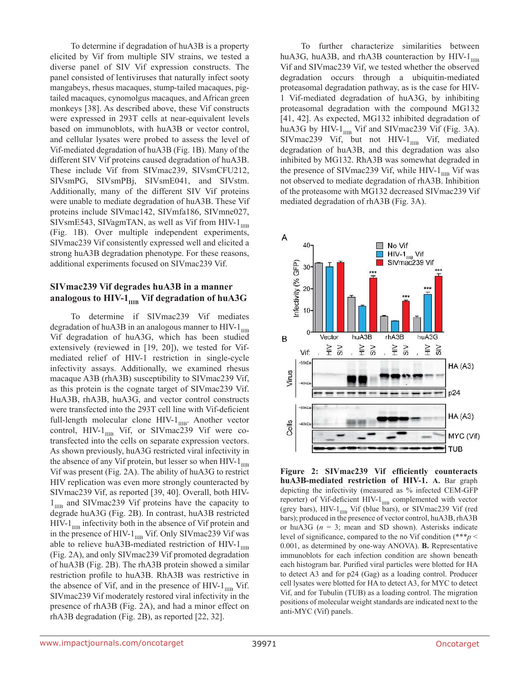To determine if degradation of huA3B is a property elicited by Vif from multiple SIV strains, we tested a diverse panel of SIV Vif expression constructs. The panel consisted of lentiviruses that naturally infect sooty mangabeys, rhesus macaques, stump-tailed macaques, pigtailed macaques, cynomolgus macaques, and African green monkeys [38]. As described above, these Vif constructs were expressed in 293T cells at near-equivalent levels based on immunoblots, with huA3B or vector control, and cellular lysates were probed to assess the level of Vif-mediated degradation of huA3B (Fig. 1B). Many of the different SIV Vif proteins caused degradation of huA3B. These include Vif from SIVmac239, SIVsmCFU212, SIVsmPG, SIVsmPBj, SIVsmE041, and SIVstm. Additionally, many of the different SIV Vif proteins were unable to mediate degradation of huA3B. These Vif proteins include SIVmac142, SIVmfa186, SIVmne027, SIVsmE543, SIVagmTAN, as well as Vif from HIV- $1_{\text{IIB}}$ (Fig. 1B). Over multiple independent experiments, SIVmac239 Vif consistently expressed well and elicited a strong huA3B degradation phenotype. For these reasons, additional experiments focused on SIVmac239 Vif.

#### **SIVmac239 Vif degrades huA3B in a manner**  analogous to HIV-1<sub>IIIB</sub> Vif degradation of huA3G

To determine if SIVmac239 Vif mediates degradation of huA3B in an analogous manner to HIV- $1_{\text{IIB}}$ Vif degradation of huA3G, which has been studied extensively (reviewed in [19, 20]), we tested for Vifmediated relief of HIV-1 restriction in single-cycle infectivity assays. Additionally, we examined rhesus macaque A3B (rhA3B) susceptibility to SIVmac239 Vif, as this protein is the cognate target of SIVmac239 Vif. HuA3B, rhA3B, huA3G, and vector control constructs were transfected into the 293T cell line with Vif-deficient full-length molecular clone  $HIV-1_{IIB}$ . Another vector control, HIV- $1_{\text{IIB}}$  Vif, or SIVmac239 Vif were cotransfected into the cells on separate expression vectors. As shown previously, huA3G restricted viral infectivity in the absence of any Vif protein, but lesser so when HIV- $1_{\text{IIB}}$ Vif was present (Fig. 2A). The ability of huA3G to restrict HIV replication was even more strongly counteracted by SIVmac239 Vif, as reported [39, 40]. Overall, both HIV- $1_{\text{IIB}}$  and SIVmac239 Vif proteins have the capacity to degrade huA3G (Fig. 2B). In contrast, huA3B restricted  $HIV-1<sub>I</sub>$  infectivity both in the absence of Vif protein and in the presence of HIV- $1_{\text{IIB}}$  Vif. Only SIVmac239 Vif was able to relieve huA3B-mediated restriction of HIV- $1_{\text{IIB}}$ (Fig. 2A), and only SIVmac239 Vif promoted degradation of huA3B (Fig. 2B). The rhA3B protein showed a similar restriction profile to huA3B. RhA3B was restrictive in the absence of Vif, and in the presence of HIV- $1_{\text{IIB}}$  Vif. SIVmac239 Vif moderately restored viral infectivity in the presence of rhA3B (Fig. 2A), and had a minor effect on rhA3B degradation (Fig. 2B), as reported [22, 32].

To further characterize similarities between huA3G, huA3B, and rhA3B counteraction by HIV- $1_{\text{IIB}}$ Vif and SIVmac239 Vif, we tested whether the observed degradation occurs through a ubiquitin-mediated proteasomal degradation pathway, as is the case for HIV-1 Vif-mediated degradation of huA3G, by inhibiting proteasomal degradation with the compound MG132 [41, 42]. As expected, MG132 inhibited degradation of huA3G by HIV- $1_{\text{IIB}}$  Vif and SIVmac239 Vif (Fig. 3A). SIVmac239 Vif, but not HIV- $1_{\text{IIB}}$  Vif, mediated degradation of huA3B, and this degradation was also inhibited by MG132. RhA3B was somewhat degraded in the presence of SIVmac239 Vif, while HIV- $1_{\text{HR}}$  Vif was not observed to mediate degradation of rhA3B. Inhibition of the proteasome with MG132 decreased SIVmac239 Vif mediated degradation of rhA3B (Fig. 3A).



**Figure 2: SIVmac239 Vif efficiently counteracts huA3B-mediated restriction of HIV-1. A.** Bar graph depicting the infectivity (measured as % infected CEM-GFP reporter) of Vif-deficient HIV- $1_{\text{IIB}}$  complemented with vector (grey bars), HIV- $1_{\text{IIB}}$  Vif (blue bars), or SIVmac239 Vif (red bars); produced in the presence of vector control, huA3B, rhA3B or huA3G (*n* = 3; mean and SD shown). Asterisks indicate level of significance, compared to the no Vif condition (\*\*\**p* < 0.001, as determined by one-way ANOVA). **B.** Representative immunoblots for each infection condition are shown beneath each histogram bar. Purified viral particles were blotted for HA to detect A3 and for p24 (Gag) as a loading control. Producer cell lysates were blotted for HA to detect A3, for MYC to detect Vif, and for Tubulin (TUB) as a loading control. The migration positions of molecular weight standards are indicated next to the anti-MYC (Vif) panels.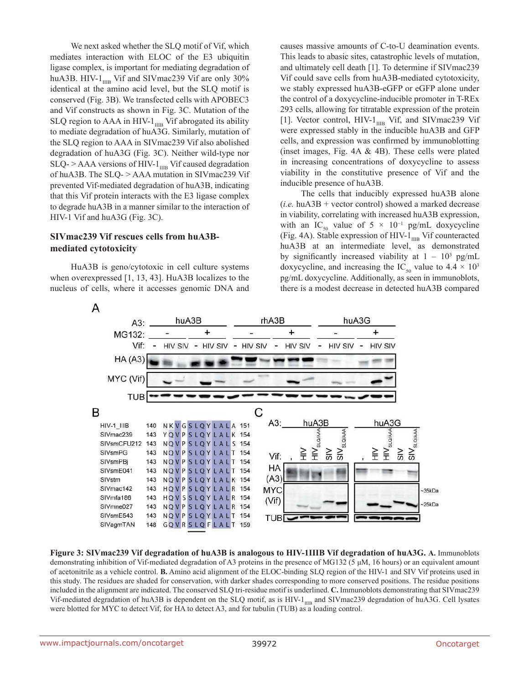We next asked whether the SLQ motif of Vif, which mediates interaction with ELOC of the E3 ubiquitin ligase complex, is important for mediating degradation of huA3B. HIV- $1_{\text{IIB}}$  Vif and SIVmac239 Vif are only 30% identical at the amino acid level, but the SLQ motif is conserved (Fig. 3B). We transfected cells with APOBEC3 and Vif constructs as shown in Fig. 3C. Mutation of the  $\rm SLQ$  region to AAA in HIV-1  $_{\rm IIB}$  Vif abrogated its ability to mediate degradation of huA3G. Similarly, mutation of the SLQ region to AAA in SIVmac239 Vif also abolished degradation of huA3G (Fig. 3C). Neither wild-type nor  $SLQ$ - > AAA versions of HIV-1 $_{IIB}$  Vif caused degradation of huA3B. The SLQ- > AAA mutation in SIVmac239 Vif prevented Vif-mediated degradation of huA3B, indicating that this Vif protein interacts with the E3 ligase complex to degrade huA3B in a manner similar to the interaction of HIV-1 Vif and huA3G (Fig. 3C).

### **SIVmac239 Vif rescues cells from huA3Bmediated cytotoxicity**

HuA3B is geno/cytotoxic in cell culture systems when overexpressed [1, 13, 43]. HuA3B localizes to the nucleus of cells, where it accesses genomic DNA and causes massive amounts of C-to-U deamination events. This leads to abasic sites, catastrophic levels of mutation, and ultimately cell death [1]. To determine if SIVmac239 Vif could save cells from huA3B-mediated cytotoxicity, we stably expressed huA3B-eGFP or eGFP alone under the control of a doxycycline-inducible promoter in T-REx 293 cells, allowing for titratable expression of the protein [1]. Vector control, HIV- $1_{\text{IIB}}$  Vif, and SIVmac239 Vif were expressed stably in the inducible huA3B and GFP cells, and expression was confirmed by immunoblotting (inset images, Fig. 4A & 4B). These cells were plated in increasing concentrations of doxycycline to assess viability in the constitutive presence of Vif and the inducible presence of huA3B.

The cells that inducibly expressed huA3B alone (*i.e.* huA3B + vector control) showed a marked decrease in viability, correlating with increased huA3B expression, with an IC<sub>50</sub> value of 5 × 10<sup>-1</sup> pg/mL doxycycline (Fig. 4A). Stable expression of HIV- $1_{\text{IIB}}$  Vif counteracted huA3B at an intermediate level, as demonstrated by significantly increased viability at  $1 - 10^3$  pg/mL doxycycline, and increasing the IC<sub>50</sub> value to  $4.4 \times 10^3$ pg/mL doxycycline. Additionally, as seen in immunoblots, there is a modest decrease in detected huA3B compared



**Figure 3: SIVmac239 Vif degradation of huA3B is analogous to HIV-1IIIB Vif degradation of huA3G. A.** Immunoblots demonstrating inhibition of Vif-mediated degradation of A3 proteins in the presence of MG132 (5 μM, 16 hours) or an equivalent amount of acetonitrile as a vehicle control. **B.** Amino acid alignment of the ELOC-binding SLQ region of the HIV-1 and SIV Vif proteins used in this study. The residues are shaded for conservation, with darker shades corresponding to more conserved positions. The residue positions included in the alignment are indicated. The conserved SLQ tri-residue motif is underlined. **C.** Immunoblots demonstrating that SIVmac239 Vif-mediated degradation of huA3B is dependent on the SLQ motif, as is HIV-1<sub>IIIB</sub> and SIVmac239 degradation of huA3G. Cell lysates were blotted for MYC to detect Vif, for HA to detect A3, and for tubulin (TUB) as a loading control.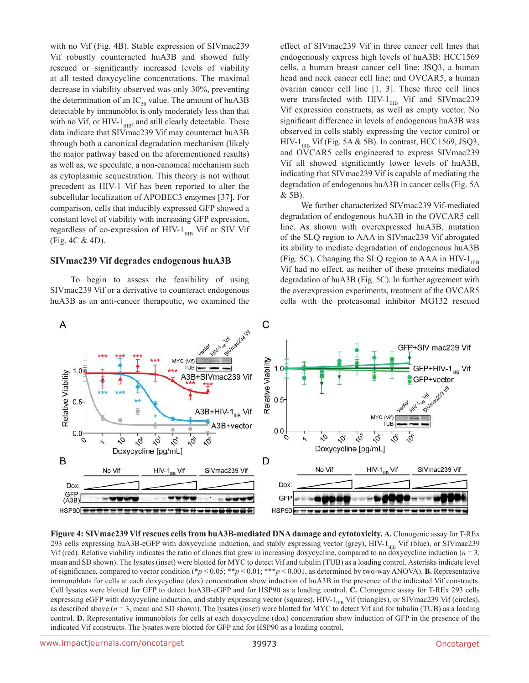with no Vif (Fig. 4B). Stable expression of SIVmac239 Vif robustly counteracted huA3B and showed fully rescued or significantly increased levels of viability at all tested doxycycline concentrations. The maximal decrease in viability observed was only 30%, preventing the determination of an  $IC_{50}$  value. The amount of huA3B detectable by immunoblot is only moderately less than that with no Vif, or HIV- $1_{\text{IIB}}$ , and still clearly detectable. These data indicate that SIVmac239 Vif may counteract huA3B through both a canonical degradation mechanism (likely the major pathway based on the aforementioned results) as well as, we speculate, a non-canonical mechanism such as cytoplasmic sequestration. This theory is not without precedent as HIV-1 Vif has been reported to alter the subcellular localization of APOBEC3 enzymes [37]. For comparison, cells that inducibly expressed GFP showed a constant level of viability with increasing GFP expression, regardless of co-expression of HIV- $1_{\text{IIB}}$  Vif or SIV Vif (Fig. 4C & 4D).

#### **SIVmac239 Vif degrades endogenous huA3B**

To begin to assess the feasibility of using SIVmac239 Vif or a derivative to counteract endogenous huA3B as an anti-cancer therapeutic, we examined the effect of SIVmac239 Vif in three cancer cell lines that endogenously express high levels of huA3B: HCC1569 cells, a human breast cancer cell line; JSQ3, a human head and neck cancer cell line; and OVCAR5, a human ovarian cancer cell line [1, 3]. These three cell lines were transfected with HIV- $1_{\text{IIB}}$  Vif and SIVmac239 Vif expression constructs, as well as empty vector. No significant difference in levels of endogenous huA3B was observed in cells stably expressing the vector control or HIV-1 $_{\text{I}}$  Vif (Fig. 5A & 5B). In contrast, HCC1569, JSQ3, and OVCAR5 cells engineered to express SIVmac239 Vif all showed significantly lower levels of huA3B, indicating that SIVmac239 Vif is capable of mediating the degradation of endogenous huA3B in cancer cells (Fig. 5A & 5B).

We further characterized SIVmac239 Vif-mediated degradation of endogenous huA3B in the OVCAR5 cell line. As shown with overexpressed huA3B, mutation of the SLQ region to AAA in SIVmac239 Vif abrogated its ability to mediate degradation of endogenous huA3B (Fig. 5C). Changing the SLQ region to AAA in HIV- $1_{\text{IIB}}$ Vif had no effect, as neither of these proteins mediated degradation of huA3B (Fig. 5C). In further agreement with the overexpression experiments, treatment of the OVCAR5 cells with the proteasomal inhibitor MG132 rescued



**Figure 4: SIVmac239 Vif rescues cells from huA3B-mediated DNA damage and cytotoxicity. A.** Clonogenic assay for T-REx 293 cells expressing huA3B-eGFP with doxycycline induction, and stably expressing vector (grey),  $HIV-1_{\text{IHR}}$  Vif (blue), or SIVmac239 Vif (red). Relative viability indicates the ratio of clones that grew in increasing doxycycline, compared to no doxycycline induction  $(n = 3)$ , mean and SD shown). The lysates (inset) were blotted for MYC to detect Vif and tubulin (TUB) as a loading control. Asterisks indicate level of significance, compared to vector condition (\**p* < 0.05; \*\**p* < 0.01; \*\*\**p* < 0.001, as determined by two-way ANOVA). **B.** Representative immunoblots for cells at each doxycycline (dox) concentration show induction of huA3B in the presence of the indicated Vif constructs. Cell lysates were blotted for GFP to detect huA3B-eGFP and for HSP90 as a loading control. **C.** Clonogenic assay for T-REx 293 cells expressing eGFP with doxycycline induction, and stably expressing vector (squares), HIV-1<sub>IIIB</sub> Vif (triangles), or SIVmac239 Vif (circles), as described above  $(n = 3$ , mean and SD shown). The lysates (inset) were blotted for MYC to detect Vif and for tubulin (TUB) as a loading control. **D.** Representative immunoblots for cells at each doxycycline (dox) concentration show induction of GFP in the presence of the indicated Vif constructs. The lysates were blotted for GFP and for HSP90 as a loading control.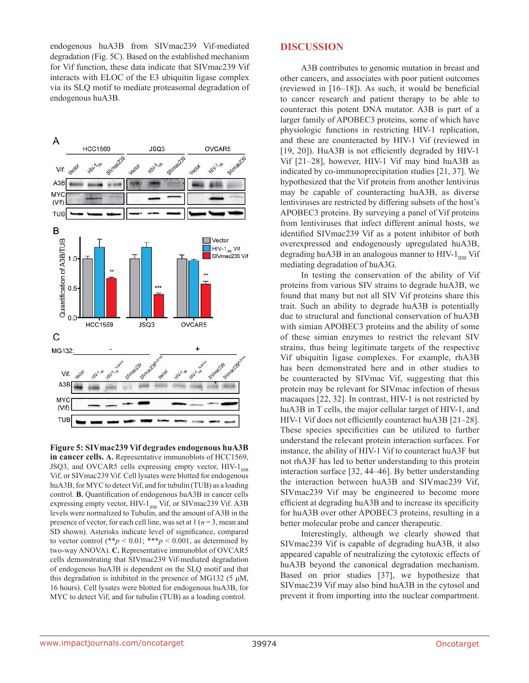endogenous huA3B from SIVmac239 Vif-mediated degradation (Fig. 5C). Based on the established mechanism for Vif function, these data indicate that SIVmac239 Vif interacts with ELOC of the E3 ubiquitin ligase complex via its SLQ motif to mediate proteasomal degradation of endogenous huA3B.



**Figure 5: SIVmac239 Vif degrades endogenous huA3B in cancer cells. A.** Representative immunoblots of HCC1569, JSQ3, and OVCAR5 cells expressing empty vector,  $HIV-1_{IIB}$ Vif, or SIVmac239 Vif. Cell lysates were blotted for endogenous huA3B, for MYC to detect Vif, and for tubulin (TUB) as a loading control. **B.** Quantification of endogenous huA3B in cancer cells expressing empty vector, HIV- $1_{\text{IIB}}$  Vif, or SIVmac239 Vif. A3B levels were normalized to Tubulin, and the amount of A3B in the presence of vector, for each cell line, was set at 1 (*n* = 3, mean and SD shown). Asterisks indicate level of significance, compared to vector control  $(*p < 0.01; **p < 0.001$ , as determined by two-way ANOVA). **C.** Representative immunoblot of OVCAR5 cells demonstrating that SIVmac239 Vif-mediated degradation of endogenous huA3B is dependent on the SLQ motif and that this degradation is inhibited in the presence of MG132 (5  $\mu$ M, 16 hours). Cell lysates were blotted for endogenous huA3B, for MYC to detect Vif, and for tubulin (TUB) as a loading control.

#### **DISCUSSION**

A3B contributes to genomic mutation in breast and other cancers, and associates with poor patient outcomes (reviewed in [16–18]). As such, it would be beneficial to cancer research and patient therapy to be able to counteract this potent DNA mutator. A3B is part of a larger family of APOBEC3 proteins, some of which have physiologic functions in restricting HIV-1 replication, and these are counteracted by HIV-1 Vif (reviewed in [19, 20]). HuA3B is not efficiently degraded by HIV-1 Vif [21–28], however, HIV-1 Vif may bind huA3B as indicated by co-immunoprecipitation studies [21, 37]. We hypothesized that the Vif protein from another lentivirus may be capable of counteracting huA3B, as diverse lentiviruses are restricted by differing subsets of the host's APOBEC3 proteins. By surveying a panel of Vif proteins from lentiviruses that infect different animal hosts, we identified SIVmac239 Vif as a potent inhibitor of both overexpressed and endogenously upregulated huA3B, degrading huA3B in an analogous manner to HIV- $1_{\text{IIB}}$  Vif mediating degradation of huA3G.

In testing the conservation of the ability of Vif proteins from various SIV strains to degrade huA3B, we found that many but not all SIV Vif proteins share this trait. Such an ability to degrade huA3B is potentially due to structural and functional conservation of huA3B with simian APOBEC3 proteins and the ability of some of these simian enzymes to restrict the relevant SIV strains, thus being legitimate targets of the respective Vif ubiquitin ligase complexes. For example, rhA3B has been demonstrated here and in other studies to be counteracted by SIVmac Vif, suggesting that this protein may be relevant for SIVmac infection of rhesus macaques [22, 32]. In contrast, HIV-1 is not restricted by huA3B in T cells, the major cellular target of HIV-1, and HIV-1 Vif does not efficiently counteract huA3B [21–28]. These species specificities can be utilized to further understand the relevant protein interaction surfaces. For instance, the ability of HIV-1 Vif to counteract huA3F but not rhA3F has led to better understanding to this protein interaction surface [32, 44–46]. By better understanding the interaction between huA3B and SIVmac239 Vif, SIVmac239 Vif may be engineered to become more efficient at degrading huA3B and to increase its specificity for huA3B over other APOBEC3 proteins, resulting in a better molecular probe and cancer therapeutic.

Interestingly, although we clearly showed that SIVmac239 Vif is capable of degrading huA3B, it also appeared capable of neutralizing the cytotoxic effects of huA3B beyond the canonical degradation mechanism. Based on prior studies [37], we hypothesize that SIVmac239 Vif may also bind huA3B in the cytosol and prevent it from importing into the nuclear compartment.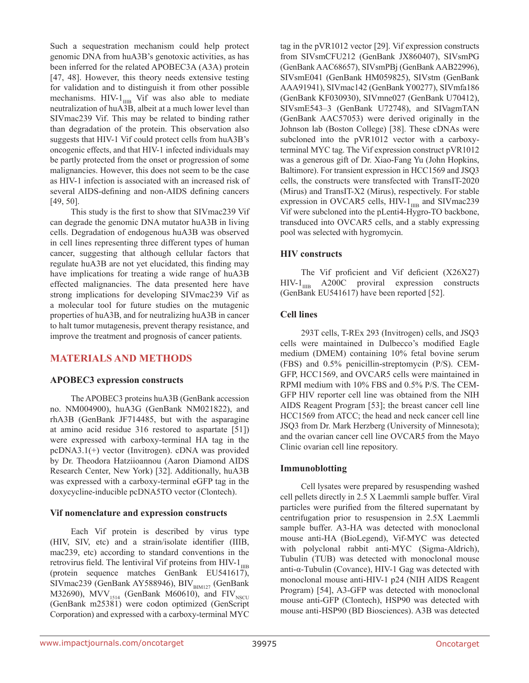Such a sequestration mechanism could help protect genomic DNA from huA3B's genotoxic activities, as has been inferred for the related APOBEC3A (A3A) protein [47, 48]. However, this theory needs extensive testing for validation and to distinguish it from other possible mechanisms. HIV- $1_{\text{IIB}}$  Vif was also able to mediate neutralization of huA3B, albeit at a much lower level than SIVmac239 Vif. This may be related to binding rather than degradation of the protein. This observation also suggests that HIV-1 Vif could protect cells from huA3B's oncogenic effects, and that HIV-1 infected individuals may be partly protected from the onset or progression of some malignancies. However, this does not seem to be the case as HIV-1 infection is associated with an increased risk of several AIDS-defining and non-AIDS defining cancers [49, 50].

This study is the first to show that SIVmac239 Vif can degrade the genomic DNA mutator huA3B in living cells. Degradation of endogenous huA3B was observed in cell lines representing three different types of human cancer, suggesting that although cellular factors that regulate huA3B are not yet elucidated, this finding may have implications for treating a wide range of huA3B effected malignancies. The data presented here have strong implications for developing SIVmac239 Vif as a molecular tool for future studies on the mutagenic properties of huA3B, and for neutralizing huA3B in cancer to halt tumor mutagenesis, prevent therapy resistance, and improve the treatment and prognosis of cancer patients.

## **MATERIALS AND METHODS**

### **APOBEC3 expression constructs**

The APOBEC3 proteins huA3B (GenBank accession no. NM004900), huA3G (GenBank NM021822), and rhA3B (GenBank JF714485, but with the asparagine at amino acid residue 316 restored to aspartate [51]) were expressed with carboxy-terminal HA tag in the pcDNA3.1(+) vector (Invitrogen). cDNA was provided by Dr. Theodora Hatziioannou (Aaron Diamond AIDS Research Center, New York) [32]. Additionally, huA3B was expressed with a carboxy-terminal eGFP tag in the doxycycline-inducible pcDNA5TO vector (Clontech).

### **Vif nomenclature and expression constructs**

Each Vif protein is described by virus type (HIV, SIV, etc) and a strain/isolate identifier (IIIB, mac239, etc) according to standard conventions in the retrovirus field. The lentiviral Vif proteins from HIV- $1_{\text{IIB}}$ (protein sequence matches GenBank EU541617), SIVmac239 (GenBank AY588946), BIV $_{\text{BM127}}$  (GenBank M32690), MVV $_{1514}$  (GenBank M60610), and FIV<sub>NSCU</sub> (GenBank m25381) were codon optimized (GenScript Corporation) and expressed with a carboxy-terminal MYC

tag in the pVR1012 vector [29]. Vif expression constructs from SIVsmCFU212 (GenBank JX860407), SIVsmPG (GenBank AAC68657), SIVsmPBj (GenBank AAB22996), SIVsmE041 (GenBank HM059825), SIVstm (GenBank AAA91941), SIVmac142 (GenBank Y00277), SIVmfa186 (GenBank KF030930), SIVmne027 (GenBank U70412), SIVsmE543–3 (GenBank U72748), and SIVagmTAN (GenBank AAC57053) were derived originally in the Johnson lab (Boston College) [38]. These cDNAs were subcloned into the pVR1012 vector with a carboxyterminal MYC tag. The Vif expression construct pVR1012 was a generous gift of Dr. Xiao-Fang Yu (John Hopkins, Baltimore). For transient expression in HCC1569 and JSQ3 cells, the constructs were transfected with TransIT-2020 (Mirus) and TransIT-X2 (Mirus), respectively. For stable expression in OVCAR5 cells,  $HIV-1<sub>I</sub>$  and SIVmac239 Vif were subcloned into the pLenti4-Hygro-TO backbone, transduced into OVCAR5 cells, and a stably expressing pool was selected with hygromycin.

### **HIV constructs**

The Vif proficient and Vif deficient (X26X27)  $HIV-1<sub>IIR</sub>$  A200C proviral expression constructs (GenBank EU541617) have been reported [52].

### **Cell lines**

293T cells, T-REx 293 (Invitrogen) cells, and JSQ3 cells were maintained in Dulbecco's modified Eagle medium (DMEM) containing 10% fetal bovine serum (FBS) and 0.5% penicillin-streptomycin (P/S). CEM-GFP, HCC1569, and OVCAR5 cells were maintained in RPMI medium with 10% FBS and 0.5% P/S. The CEM-GFP HIV reporter cell line was obtained from the NIH AIDS Reagent Program [53]; the breast cancer cell line HCC1569 from ATCC; the head and neck cancer cell line JSQ3 from Dr. Mark Herzberg (University of Minnesota); and the ovarian cancer cell line OVCAR5 from the Mayo Clinic ovarian cell line repository.

### **Immunoblotting**

Cell lysates were prepared by resuspending washed cell pellets directly in 2.5 Χ Laemmli sample buffer. Viral particles were purified from the filtered supernatant by centrifugation prior to resuspension in 2.5Χ Laemmli sample buffer. A3-HA was detected with monoclonal mouse anti-HA (BioLegend), Vif-MYC was detected with polyclonal rabbit anti-MYC (Sigma-Aldrich), Tubulin (TUB) was detected with monoclonal mouse anti-α-Tubulin (Covance), HIV-1 Gag was detected with monoclonal mouse anti-HIV-1 p24 (NIH AIDS Reagent Program) [54], A3-GFP was detected with monoclonal mouse anti-GFP (Clontech), HSP90 was detected with mouse anti-HSP90 (BD Biosciences). A3B was detected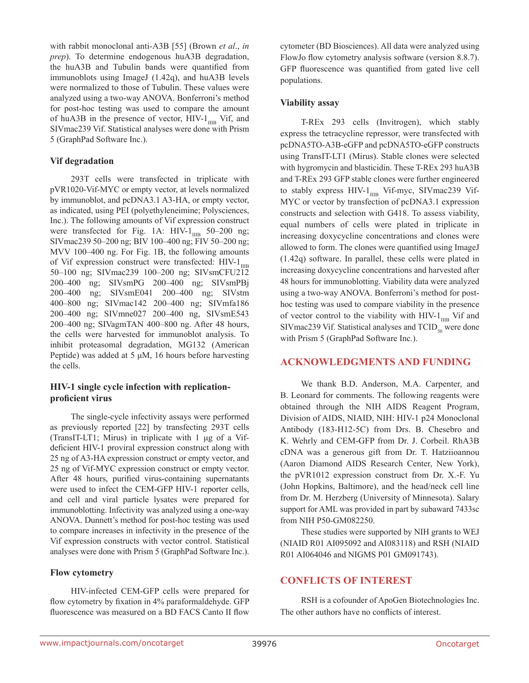with rabbit monoclonal anti-A3B [55] (Brown *et al*., *in prep*). To determine endogenous huA3B degradation, the huA3B and Tubulin bands were quantified from immunoblots using ImageJ (1.42q), and huA3B levels were normalized to those of Tubulin. These values were analyzed using a two-way ANOVA. Bonferroni's method for post-hoc testing was used to compare the amount of huA3B in the presence of vector,  $HIV-1_{\text{IIB}}$  Vif, and SIVmac239 Vif. Statistical analyses were done with Prism 5 (GraphPad Software Inc.).

#### **Vif degradation**

293T cells were transfected in triplicate with pVR1020-Vif-MYC or empty vector, at levels normalized by immunoblot, and pcDNA3.1 A3-HA, or empty vector, as indicated, using PEI (polyethyleneimine; Polysciences, Inc.). The following amounts of Vif expression construct were transfected for Fig. 1A:  $HIV-1_{\text{IIB}}$  50–200 ng; SIVmac239 50–200 ng; BIV 100–400 ng; FIV 50–200 ng; MVV 100–400 ng. For Fig. 1B, the following amounts of Vif expression construct were transfected:  $HIV-1<sub>IHR</sub>$ 50–100 ng; SIVmac239 100–200 ng; SIVsmCFU212 200–400 ng; SIVsmPG 200–400 ng; SIVsmPBj 200–400 ng; SIVsmE041 200–400 ng; SIVstm 400–800 ng; SIVmac142 200–400 ng; SIVmfa186 200–400 ng; SIVmne027 200–400 ng, SIVsmE543 200–400 ng; SIVagmTAN 400–800 ng. After 48 hours, the cells were harvested for immunoblot analysis. To inhibit proteasomal degradation, MG132 (American Peptide) was added at 5 μM, 16 hours before harvesting the cells.

#### **HIV-1 single cycle infection with replicationproficient virus**

The single-cycle infectivity assays were performed as previously reported [22] by transfecting 293T cells (TransIT-LT1; Mirus) in triplicate with 1 μg of a Vifdeficient HIV-1 proviral expression construct along with 25 ng of A3-HA expression construct or empty vector, and 25 ng of Vif-MYC expression construct or empty vector. After 48 hours, purified virus-containing supernatants were used to infect the CEM-GFP HIV-1 reporter cells, and cell and viral particle lysates were prepared for immunoblotting. Infectivity was analyzed using a one-way ANOVA. Dunnett's method for post-hoc testing was used to compare increases in infectivity in the presence of the Vif expression constructs with vector control. Statistical analyses were done with Prism 5 (GraphPad Software Inc.).

#### **Flow cytometry**

HIV-infected CEM-GFP cells were prepared for flow cytometry by fixation in 4% paraformaldehyde. GFP fluorescence was measured on a BD FACS Canto II flow cytometer (BD Biosciences). All data were analyzed using FlowJo flow cytometry analysis software (version 8.8.7). GFP fluorescence was quantified from gated live cell populations.

#### **Viability assay**

T-REx 293 cells (Invitrogen), which stably express the tetracycline repressor, were transfected with pcDNA5TO-A3B-eGFP and pcDNA5TO-eGFP constructs using TransIT-LT1 (Mirus). Stable clones were selected with hygromycin and blasticidin. These T-REx 293 huA3B and T-REx 293 GFP stable clones were further engineered to stably express HIV- $1_{\text{IIB}}$  Vif-myc, SIVmac239 Vif-MYC or vector by transfection of pcDNA3.1 expression constructs and selection with G418. To assess viability, equal numbers of cells were plated in triplicate in increasing doxycycline concentrations and clones were allowed to form. The clones were quantified using ImageJ (1.42q) software. In parallel, these cells were plated in increasing doxycycline concentrations and harvested after 48 hours for immunoblotting. Viability data were analyzed using a two-way ANOVA. Bonferroni's method for posthoc testing was used to compare viability in the presence of vector control to the viability with HIV- $1_{\text{IIB}}$  Vif and SIVmac239 Vif. Statistical analyses and  $TCID_{50}$  were done with Prism 5 (GraphPad Software Inc.).

#### **ACKNOWLEDGMENTS AND FUNDING**

We thank B.D. Anderson, M.A. Carpenter, and B. Leonard for comments. The following reagents were obtained through the NIH AIDS Reagent Program, Division of AIDS, NIAID, NIH: HIV-1 p24 Monoclonal Antibody (183-H12-5C) from Drs. B. Chesebro and K. Wehrly and CEM-GFP from Dr. J. Corbeil. RhA3B cDNA was a generous gift from Dr. T. Hatziioannou (Aaron Diamond AIDS Research Center, New York), the pVR1012 expression construct from Dr. X.-F. Yu (John Hopkins, Baltimore), and the head/neck cell line from Dr. M. Herzberg (University of Minnesota). Salary support for AML was provided in part by subaward 7433sc from NIH P50-GM082250.

These studies were supported by NIH grants to WEJ (NIAID R01 AI095092 and AI083118) and RSH (NIAID R01 AI064046 and NIGMS P01 GM091743).

### **CONFLICTS OF INTEREST**

RSH is a cofounder of ApoGen Biotechnologies Inc. The other authors have no conflicts of interest.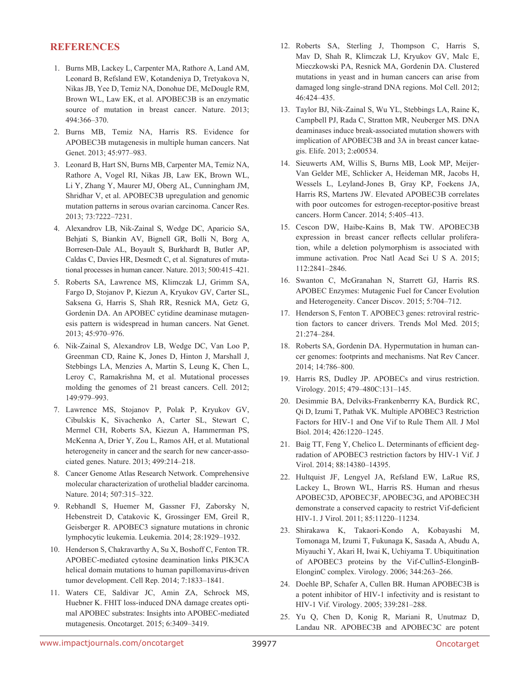#### **REFERENCES**

- 1. Burns MB, Lackey L, Carpenter MA, Rathore A, Land AM, Leonard B, Refsland EW, Kotandeniya D, Tretyakova N, Nikas JB, Yee D, Temiz NA, Donohue DE, McDougle RM, Brown WL, Law EK, et al. APOBEC3B is an enzymatic source of mutation in breast cancer. Nature. 2013; 494:366–370.
- 2. Burns MB, Temiz NA, Harris RS. Evidence for APOBEC3B mutagenesis in multiple human cancers. Nat Genet. 2013; 45:977–983.
- 3. Leonard B, Hart SN, Burns MB, Carpenter MA, Temiz NA, Rathore A, Vogel RI, Nikas JB, Law EK, Brown WL, Li Y, Zhang Y, Maurer MJ, Oberg AL, Cunningham JM, Shridhar V, et al. APOBEC3B upregulation and genomic mutation patterns in serous ovarian carcinoma. Cancer Res. 2013; 73:7222–7231.
- 4. Alexandrov LB, Nik-Zainal S, Wedge DC, Aparicio SA, Behjati S, Biankin AV, Bignell GR, Bolli N, Borg A, Borresen-Dale AL, Boyault S, Burkhardt B, Butler AP, Caldas C, Davies HR, Desmedt C, et al. Signatures of mutational processes in human cancer. Nature. 2013; 500:415–421.
- 5. Roberts SA, Lawrence MS, Klimczak LJ, Grimm SA, Fargo D, Stojanov P, Kiezun A, Kryukov GV, Carter SL, Saksena G, Harris S, Shah RR, Resnick MA, Getz G, Gordenin DA. An APOBEC cytidine deaminase mutagenesis pattern is widespread in human cancers. Nat Genet. 2013; 45:970–976.
- 6. Nik-Zainal S, Alexandrov LB, Wedge DC, Van Loo P, Greenman CD, Raine K, Jones D, Hinton J, Marshall J, Stebbings LA, Menzies A, Martin S, Leung K, Chen L, Leroy C, Ramakrishna M, et al. Mutational processes molding the genomes of 21 breast cancers. Cell. 2012; 149:979–993.
- 7. Lawrence MS, Stojanov P, Polak P, Kryukov GV, Cibulskis K, Sivachenko A, Carter SL, Stewart C, Mermel CH, Roberts SA, Kiezun A, Hammerman PS, McKenna A, Drier Y, Zou L, Ramos AH, et al. Mutational heterogeneity in cancer and the search for new cancer-associated genes. Nature. 2013; 499:214–218.
- 8. Cancer Genome Atlas Research Network. Comprehensive molecular characterization of urothelial bladder carcinoma. Nature. 2014; 507:315–322.
- 9. Rebhandl S, Huemer M, Gassner FJ, Zaborsky N, Hebenstreit D, Catakovic K, Grossinger EM, Greil R, Geisberger R. APOBEC3 signature mutations in chronic lymphocytic leukemia. Leukemia. 2014; 28:1929–1932.
- 10. Henderson S, Chakravarthy A, Su X, Boshoff C, Fenton TR. APOBEC-mediated cytosine deamination links PIK3CA helical domain mutations to human papillomavirus-driven tumor development. Cell Rep. 2014; 7:1833–1841.
- 11. Waters CE, Saldivar JC, Amin ZA, Schrock MS, Huebner K. FHIT loss-induced DNA damage creates optimal APOBEC substrates: Insights into APOBEC-mediated mutagenesis. Oncotarget. 2015; 6:3409–3419.
- 12. Roberts SA, Sterling J, Thompson C, Harris S, Mav D, Shah R, Klimczak LJ, Kryukov GV, Malc E, Mieczkowski PA, Resnick MA, Gordenin DA. Clustered mutations in yeast and in human cancers can arise from damaged long single-strand DNA regions. Mol Cell. 2012; 46:424–435.
- 13. Taylor BJ, Nik-Zainal S, Wu YL, Stebbings LA, Raine K, Campbell PJ, Rada C, Stratton MR, Neuberger MS. DNA deaminases induce break-associated mutation showers with implication of APOBEC3B and 3A in breast cancer kataegis. Elife. 2013; 2:e00534.
- 14. Sieuwerts AM, Willis S, Burns MB, Look MP, Meijer-Van Gelder ME, Schlicker A, Heideman MR, Jacobs H, Wessels L, Leyland-Jones B, Gray KP, Foekens JA, Harris RS, Martens JW. Elevated APOBEC3B correlates with poor outcomes for estrogen-receptor-positive breast cancers. Horm Cancer. 2014; 5:405–413.
- 15. Cescon DW, Haibe-Kains B, Mak TW. APOBEC3B expression in breast cancer reflects cellular proliferation, while a deletion polymorphism is associated with immune activation. Proc Natl Acad Sci U S A. 2015; 112:2841–2846.
- 16. Swanton C, McGranahan N, Starrett GJ, Harris RS. APOBEC Enzymes: Mutagenic Fuel for Cancer Evolution and Heterogeneity. Cancer Discov. 2015; 5:704–712.
- 17. Henderson S, Fenton T. APOBEC3 genes: retroviral restriction factors to cancer drivers. Trends Mol Med. 2015; 21:274–284.
- 18. Roberts SA, Gordenin DA. Hypermutation in human cancer genomes: footprints and mechanisms. Nat Rev Cancer. 2014; 14:786–800.
- 19. Harris RS, Dudley JP. APOBECs and virus restriction. Virology. 2015; 479–480C:131–145.
- 20. Desimmie BA, Delviks-Frankenberrry KA, Burdick RC, Qi D, Izumi T, Pathak VK. Multiple APOBEC3 Restriction Factors for HIV-1 and One Vif to Rule Them All. J Mol Biol. 2014; 426:1220–1245.
- 21. Baig TT, Feng Y, Chelico L. Determinants of efficient degradation of APOBEC3 restriction factors by HIV-1 Vif. J Virol. 2014; 88:14380–14395.
- 22. Hultquist JF, Lengyel JA, Refsland EW, LaRue RS, Lackey L, Brown WL, Harris RS. Human and rhesus APOBEC3D, APOBEC3F, APOBEC3G, and APOBEC3H demonstrate a conserved capacity to restrict Vif-deficient HIV-1. J Virol. 2011; 85:11220–11234.
- 23. Shirakawa K, Takaori-Kondo A, Kobayashi M, Tomonaga M, Izumi T, Fukunaga K, Sasada A, Abudu A, Miyauchi Y, Akari H, Iwai K, Uchiyama T. Ubiquitination of APOBEC3 proteins by the Vif-Cullin5-ElonginB-ElonginC complex. Virology. 2006; 344:263–266.
- 24. Doehle BP, Schafer A, Cullen BR. Human APOBEC3B is a potent inhibitor of HIV-1 infectivity and is resistant to HIV-1 Vif. Virology. 2005; 339:281–288.
- 25. Yu Q, Chen D, Konig R, Mariani R, Unutmaz D, Landau NR. APOBEC3B and APOBEC3C are potent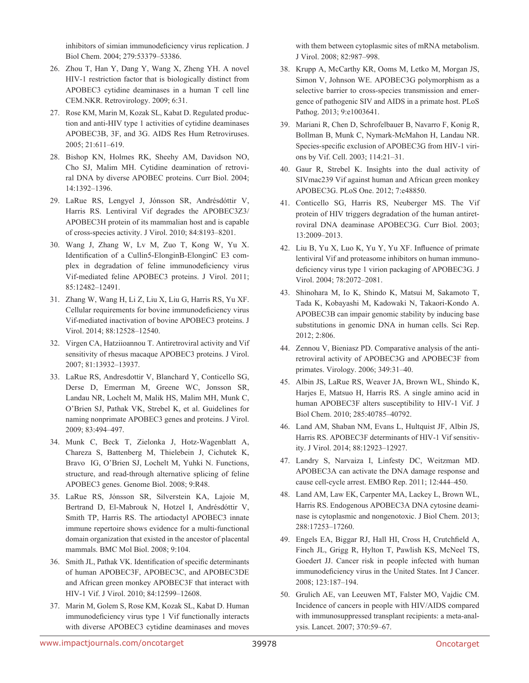inhibitors of simian immunodeficiency virus replication. J Biol Chem. 2004; 279:53379–53386.

- 26. Zhou T, Han Y, Dang Y, Wang X, Zheng YH. A novel HIV-1 restriction factor that is biologically distinct from APOBEC3 cytidine deaminases in a human T cell line CEM.NKR. Retrovirology. 2009; 6:31.
- 27. Rose KM, Marin M, Kozak SL, Kabat D. Regulated production and anti-HIV type 1 activities of cytidine deaminases APOBEC3B, 3F, and 3G. AIDS Res Hum Retroviruses. 2005; 21:611–619.
- 28. Bishop KN, Holmes RK, Sheehy AM, Davidson NO, Cho SJ, Malim MH. Cytidine deamination of retroviral DNA by diverse APOBEC proteins. Curr Biol. 2004; 14:1392–1396.
- 29. LaRue RS, Lengyel J, Jónsson SR, Andrésdóttir V, Harris RS. Lentiviral Vif degrades the APOBEC3Z3/ APOBEC3H protein of its mammalian host and is capable of cross-species activity. J Virol. 2010; 84:8193–8201.
- 30. Wang J, Zhang W, Lv M, Zuo T, Kong W, Yu X. Identification of a Cullin5-ElonginB-ElonginC E3 complex in degradation of feline immunodeficiency virus Vif-mediated feline APOBEC3 proteins. J Virol. 2011; 85:12482–12491.
- 31. Zhang W, Wang H, Li Z, Liu X, Liu G, Harris RS, Yu XF. Cellular requirements for bovine immunodeficiency virus Vif-mediated inactivation of bovine APOBEC3 proteins. J Virol. 2014; 88:12528–12540.
- 32. Virgen CA, Hatziioannou T. Antiretroviral activity and Vif sensitivity of rhesus macaque APOBEC3 proteins. J Virol. 2007; 81:13932–13937.
- 33. LaRue RS, Andresdottir V, Blanchard Y, Conticello SG, Derse D, Emerman M, Greene WC, Jonsson SR, Landau NR, Lochelt M, Malik HS, Malim MH, Munk C, O'Brien SJ, Pathak VK, Strebel K, et al. Guidelines for naming nonprimate APOBEC3 genes and proteins. J Virol. 2009; 83:494–497.
- 34. Munk C, Beck T, Zielonka J, Hotz-Wagenblatt A, Chareza S, Battenberg M, Thielebein J, Cichutek K, Bravo IG, O'Brien SJ, Lochelt M, Yuhki N. Functions, structure, and read-through alternative splicing of feline APOBEC3 genes. Genome Biol. 2008; 9:R48.
- 35. LaRue RS, Jónsson SR, Silverstein KA, Lajoie M, Bertrand D, El-Mabrouk N, Hotzel I, Andrésdóttir V, Smith TP, Harris RS. The artiodactyl APOBEC3 innate immune repertoire shows evidence for a multi-functional domain organization that existed in the ancestor of placental mammals. BMC Mol Biol. 2008; 9:104.
- 36. Smith JL, Pathak VK. Identification of specific determinants of human APOBEC3F, APOBEC3C, and APOBEC3DE and African green monkey APOBEC3F that interact with HIV-1 Vif. J Virol. 2010; 84:12599–12608.
- 37. Marin M, Golem S, Rose KM, Kozak SL, Kabat D. Human immunodeficiency virus type 1 Vif functionally interacts with diverse APOBEC3 cytidine deaminases and moves

with them between cytoplasmic sites of mRNA metabolism. J Virol. 2008; 82:987–998.

- 38. Krupp A, McCarthy KR, Ooms M, Letko M, Morgan JS, Simon V, Johnson WE. APOBEC3G polymorphism as a selective barrier to cross-species transmission and emergence of pathogenic SIV and AIDS in a primate host. PLoS Pathog. 2013; 9:e1003641.
- 39. Mariani R, Chen D, Schrofelbauer B, Navarro F, Konig R, Bollman B, Munk C, Nymark-McMahon H, Landau NR. Species-specific exclusion of APOBEC3G from HIV-1 virions by Vif. Cell. 2003; 114:21–31.
- 40. Gaur R, Strebel K. Insights into the dual activity of SIVmac239 Vif against human and African green monkey APOBEC3G. PLoS One. 2012; 7:e48850.
- 41. Conticello SG, Harris RS, Neuberger MS. The Vif protein of HIV triggers degradation of the human antiretroviral DNA deaminase APOBEC3G. Curr Biol. 2003; 13:2009–2013.
- 42. Liu B, Yu X, Luo K, Yu Y, Yu XF. Influence of primate lentiviral Vif and proteasome inhibitors on human immunodeficiency virus type 1 virion packaging of APOBEC3G. J Virol. 2004; 78:2072–2081.
- 43. Shinohara M, Io K, Shindo K, Matsui M, Sakamoto T, Tada K, Kobayashi M, Kadowaki N, Takaori-Kondo A. APOBEC3B can impair genomic stability by inducing base substitutions in genomic DNA in human cells. Sci Rep. 2012; 2:806.
- 44. Zennou V, Bieniasz PD. Comparative analysis of the antiretroviral activity of APOBEC3G and APOBEC3F from primates. Virology. 2006; 349:31–40.
- 45. Albin JS, LaRue RS, Weaver JA, Brown WL, Shindo K, Harjes E, Matsuo H, Harris RS. A single amino acid in human APOBEC3F alters susceptibility to HIV-1 Vif. J Biol Chem. 2010; 285:40785–40792.
- 46. Land AM, Shaban NM, Evans L, Hultquist JF, Albin JS, Harris RS. APOBEC3F determinants of HIV-1 Vif sensitivity. J Virol. 2014; 88:12923–12927.
- 47. Landry S, Narvaiza I, Linfesty DC, Weitzman MD. APOBEC3A can activate the DNA damage response and cause cell-cycle arrest. EMBO Rep. 2011; 12:444–450.
- 48. Land AM, Law EK, Carpenter MA, Lackey L, Brown WL, Harris RS. Endogenous APOBEC3A DNA cytosine deaminase is cytoplasmic and nongenotoxic. J Biol Chem. 2013; 288:17253–17260.
- 49. Engels EA, Biggar RJ, Hall HI, Cross H, Crutchfield A, Finch JL, Grigg R, Hylton T, Pawlish KS, McNeel TS, Goedert JJ. Cancer risk in people infected with human immunodeficiency virus in the United States. Int J Cancer. 2008; 123:187–194.
- 50. Grulich AE, van Leeuwen MT, Falster MO, Vajdic CM. Incidence of cancers in people with HIV/AIDS compared with immunosuppressed transplant recipients: a meta-analysis. Lancet. 2007; 370:59–67.